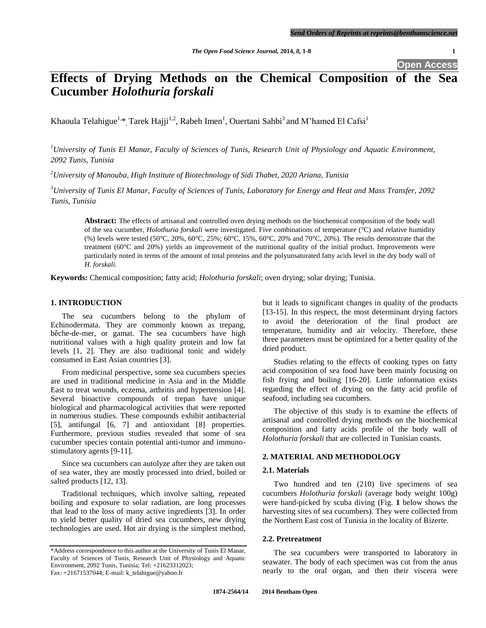# **Effects of Drying Methods on the Chemical Composition of the Sea Cucumber** *Holothuria forskali*

Khaoula Telahigue $^{1,\ast}$ , Tarek Hajji $^{1,2}$ , Rabeh Imen $^1$ , Ouertani Sahbi $^3$  and M'hamed El Cafsi $^1$ 

*<sup>1</sup>University of Tunis El Manar, Faculty of Sciences of Tunis, Research Unit of Physiology and Aquatic Environment, 2092 Tunis, Tunisia*

*<sup>2</sup>University of Manouba, High Institute of Biotechnology of Sidi Thabet, 2020 Ariana, Tunisia*

*<sup>3</sup>University of Tunis El Manar, Faculty of Sciences of Tunis, Laboratory for Energy and Heat and Mass Transfer, 2092 Tunis, Tunisia*

**Abstract:** The effects of artisanal and controlled oven drying methods on the biochemical composition of the body wall of the sea cucumber, *Holothuria forskali* were investigated. Five combinations of temperature (°C) and relative humidity (%) levels were tested (50°C, 20%, 60°C, 25%; 60°C, 15%, 60°C, 20% and 70°C, 20%). The results demonstrate that the treatment (60°C and 20%) yields an improvement of the nutritional quality of the initial product. Improvements were particularly noted in terms of the amount of total proteins and the polyunsaturated fatty acids level in the dry body wall of *H. forskali.*

**Keywords:** Chemical composition; fatty acid; *Holothuria forskali*; oven drying; solar drying; Tunisia.

## **1. INTRODUCTION**

The sea cucumbers belong to the phylum of Echinodermata. They are commonly known as trepang, bêche-de-mer, or gamat. The sea cucumbers have high nutritional values with a high quality protein and low fat levels [1, 2]. They are also traditional tonic and widely consumed in East Asian countries [3].

From medicinal perspective, some sea cucumbers species are used in traditional medicine in Asia and in the Middle East to treat wounds, eczema, arthritis and hypertension [4]. Several bioactive compounds of trepan have unique biological and pharmacological activities that were reported in numerous studies. These compounds exhibit antibacterial [5], antifungal [6, 7] and antioxidant [8] properties. Furthermore, previous studies revealed that some of sea cucumber species contain potential anti-tumor and immunostimulatory agents [9-11].

Since sea cucumbers can autolyze after they are taken out of sea water, they are mostly processed into dried, boiled or salted products [12, 13].

Traditional techniques, which involve salting, repeated boiling and exposure to solar radiation, are long processes that lead to the loss of many active ingredients [3]. In order to yield better quality of dried sea cucumbers, new drying technologies are used. Hot air drying is the simplest method, but it leads to significant changes in quality of the products [13-15]. In this respect, the most determinant drying factors to avoid the deterioration of the final product are temperature, humidity and air velocity. Therefore, these three parameters must be optimized for a better quality of the dried product.

Studies relating to the effects of cooking types on fatty acid composition of sea food have been mainly focusing on fish frying and boiling [16-20]. Little information exists regarding the effect of drying on the fatty acid profile of seafood, including sea cucumbers.

The objective of this study is to examine the effects of artisanal and controlled drying methods on the biochemical composition and fatty acids profile of the body wall of *Holothuria forskali* that are collected in Tunisian coasts.

## **2. MATERIAL AND METHODOLOGY**

## **2.1. Materials**

Two hundred and ten (210) live specimens of sea cucumbers *Holothuria forskali* (average body weight 100g) were hand-picked by scuba diving (Fig. **1** below shows the harvesting sites of sea cucumbers). They were collected from the Northern East cost of Tunisia in the locality of Bizerte.

## **2.2. Pretreatment**

The sea cucumbers were transported to laboratory in seawater. The body of each specimen was cut from the anus nearly to the oral organ, and then their viscera were

<sup>\*</sup>Address correspondence to this author at the University of Tunis El Manar, Faculty of Sciences of Tunis, Research Unit of Physiology and Aquatic Environment, 2092 Tunis, Tunisia; Tel: +21623312023; Fax: +21671537044; E-mail: k\_telahigue@yahoo.fr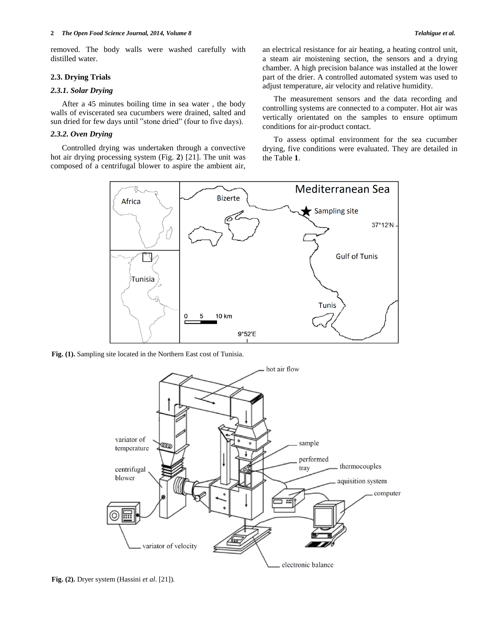removed. The body walls were washed carefully with distilled water.

## **2.3. Drying Trials**

## *2.3.1. Solar Drying*

After a 45 minutes boiling time in sea water , the body walls of eviscerated sea cucumbers were drained, salted and sun dried for few days until "stone dried" (four to five days).

## *2.3.2. Oven Drying*

Controlled drying was undertaken through a convective hot air drying processing system (Fig. **2**) [21]. The unit was composed of a centrifugal blower to aspire the ambient air,

an electrical resistance for air heating, a heating control unit, a steam air moistening section, the sensors and a drying chamber. A high precision balance was installed at the lower part of the drier. A controlled automated system was used to adjust temperature, air velocity and relative humidity.

The measurement sensors and the data recording and controlling systems are connected to a computer. Hot air was vertically orientated on the samples to ensure optimum conditions for air-product contact.

To assess optimal environment for the sea cucumber drying, five conditions were evaluated. They are detailed in the Table **1**.



**Fig. (1).** Sampling site located in the Northern East cost of Tunisia.



**Fig. (2).** Dryer system (Hassini *et al*. [21]).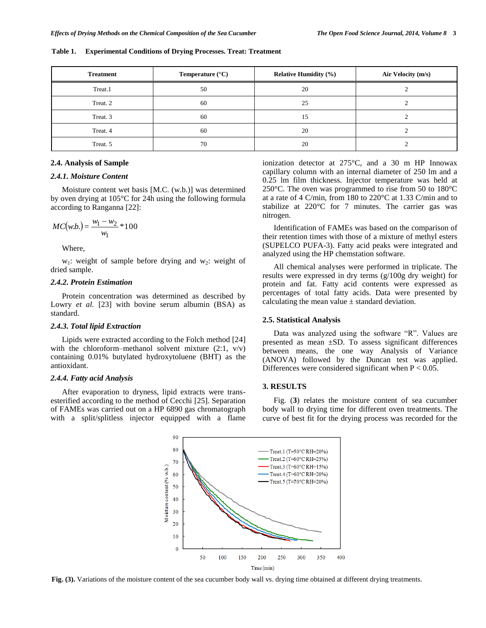**Table 1. Experimental Conditions of Drying Processes. Treat: Treatment**

| <b>Treatment</b> | Temperature $(^{\circ}C)$ | <b>Relative Humidity (%)</b> | Air Velocity (m/s) |  |
|------------------|---------------------------|------------------------------|--------------------|--|
| Treat.1          | 50                        | 20                           |                    |  |
| Treat. 2         | 60                        | 25                           |                    |  |
| Treat. 3         | 60                        | 15                           |                    |  |
| Treat. 4         | 60                        | 20                           |                    |  |
| Treat. 5         | 70                        | 20                           |                    |  |

## **2.4. Analysis of Sample**

#### *2.4.1. Moisture Content*

Moisture content wet basis [M.C. (w.b.)] was determined by oven drying at 105°C for 24h using the following formula according to Ranganna [22]:

$$
MC(w.b.) = \frac{w_1 - w_2}{w_1} * 100
$$

Where,

 $w_1$ : weight of sample before drying and w<sub>2</sub>: weight of dried sample.

#### *2.4.2. Protein Estimation*

Protein concentration was determined as described by Lowry *et al.* [23] with bovine serum albumin (BSA) as standard.

#### *2.4.3. Total lipid Extraction*

Lipids were extracted according to the Folch method [24] with the chloroform–methanol solvent mixture  $(2:1, v/v)$ containing 0.01% butylated hydroxytoluene (BHT) as the antioxidant.

#### *2.4.4. Fatty acid Analysis*

After evaporation to dryness, lipid extracts were transesterified according to the method of Cecchi [25]. Separation of FAMEs was carried out on a HP 6890 gas chromatograph with a split/splitless injector equipped with a flame ionization detector at 275°C, and a 30 m HP Innowax capillary column with an internal diameter of 250 lm and a 0.25 lm film thickness. Injector temperature was held at 250°C. The oven was programmed to rise from 50 to 180°C at a rate of 4 C/min, from 180 to 220°C at 1.33 C/min and to stabilize at 220°C for 7 minutes. The carrier gas was nitrogen.

Identification of FAMEs was based on the comparison of their retention times with those of a mixture of methyl esters (SUPELCO PUFA-3). Fatty acid peaks were integrated and analyzed using the HP chemstation software.

All chemical analyses were performed in triplicate. The results were expressed in dry terms (g/100g dry weight) for protein and fat. Fatty acid contents were expressed as percentages of total fatty acids. Data were presented by calculating the mean value  $\pm$  standard deviation.

#### **2.5. Statistical Analysis**

Data was analyzed using the software "R". Values are presented as mean ±SD. To assess significant differences between means, the one way Analysis of Variance (ANOVA) followed by the Duncan test was applied. Differences were considered significant when  $P < 0.05$ .

#### **3. RESULTS**

Fig. (**3**) relates the moisture content of sea cucumber body wall to drying time for different oven treatments. The curve of best fit for the drying process was recorded for the



**Fig. (3).** Variations of the moisture content of the sea cucumber body wall vs. drying time obtained at different drying treatments.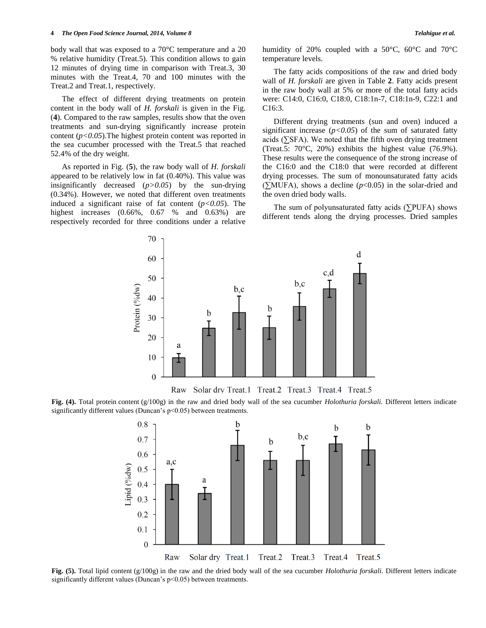body wall that was exposed to a 70°C temperature and a 20 % relative humidity (Treat.5). This condition allows to gain 12 minutes of drying time in comparison with Treat.3, 30 minutes with the Treat.4, 70 and 100 minutes with the Treat.2 and Treat.1, respectively.

The effect of different drying treatments on protein content in the body wall of *H. forskali* is given in the Fig. (**4**). Compared to the raw samples, results show that the oven treatments and sun-drying significantly increase protein content (*p<0.05*).The highest protein content was reported in the sea cucumber processed with the Treat.5 that reached 52.4% of the dry weight.

As reported in Fig. (**5**), the raw body wall of *H. forskali* appeared to be relatively low in fat (0.40%). This value was insignificantly decreased (*p>0.05*) by the sun-drying (0.34%). However, we noted that different oven treatments induced a significant raise of fat content  $(p<0.05)$ . The highest increases (0.66%, 0.67 % and 0.63%) are respectively recorded for three conditions under a relative

70

humidity of 20% coupled with a 50°C, 60°C and 70°C temperature levels.

The fatty acids compositions of the raw and dried body wall of *H. forskali* are given in Table **2**. Fatty acids present in the raw body wall at 5% or more of the total fatty acids were: C14:0, C16:0, C18:0, C18:1n-7, C18:1n-9, C22:1 and C16:3.

Different drying treatments (sun and oven) induced a significant increase  $(p<0.05)$  of the sum of saturated fatty acids ( $\Sigma$ SFA). We noted that the fifth oven drying treatment (Treat.5: 70°C, 20%) exhibits the highest value (76.9%). These results were the consequence of the strong increase of the C16:0 and the C18:0 that were recorded at different drying processes. The sum of monounsaturated fatty acids (∑MUFA), shows a decline (*p*<0.05) in the solar-dried and the oven dried body walls.

The sum of polyunsaturated fatty acids (∑PUFA) shows different tends along the drying processes. Dried samples



Raw Solar dry Treat.1 Treat.2 Treat.3 Treat.4 Treat.5

**Fig. (4).** Total protein content (g/100g) in the raw and dried body wall of the sea cucumber *Holothuria forskali.* Different letters indicate significantly different values (Duncan's p<0.05) between treatments.



**Fig. (5).** Total lipid content (g/100g) in the raw and the dried body wall of the sea cucumber *Holothuria forskali.* Different letters indicate significantly different values (Duncan's p<0.05) between treatments.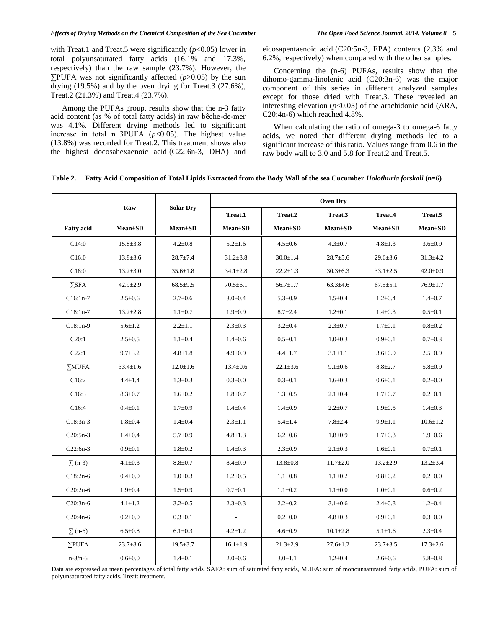#### *Effects of Drying Methods on the Chemical Composition of the Sea Cucumber The Open Food Science Journal, 2014, Volume 8* **5**

with Treat.1 and Treat.5 were significantly  $(p<0.05)$  lower in total polyunsaturated fatty acids (16.1% and 17.3%, respectively) than the raw sample (23.7%). However, the ∑PUFA was not significantly affected (*p*>0.05) by the sun drying (19.5%) and by the oven drying for Treat.3 (27.6%), Treat.2 (21.3%) and Treat.4 (23.7%).

Among the PUFAs group, results show that the n-3 fatty acid content (as % of total fatty acids) in raw bêche-de-mer was 4.1%. Different drying methods led to significant increase in total n−3PUFA (*p*<0.05). The highest value (13.8%) was recorded for Treat.2. This treatment shows also the highest docosahexaenoic acid (C22:6n-3, DHA) and

eicosapentaenoic acid (C20:5n-3, EPA) contents (2.3% and 6.2%, respectively) when compared with the other samples.

Concerning the (n-6) PUFAs, results show that the dihomo-gamma-linolenic acid (C20:3n-6) was the major component of this series in different analyzed samples except for those dried with Treat.3. These revealed an interesting elevation  $(p<0.05)$  of the arachidonic acid (ARA, C20:4n-6) which reached 4.8%.

When calculating the ratio of omega-3 to omega-6 fatty acids, we noted that different drying methods led to a significant increase of this ratio. Values range from 0.6 in the raw body wall to 3.0 and 5.8 for Treat.2 and Treat.5.

#### **Table 2. Fatty Acid Composition of Total Lipids Extracted from the Body Wall of the sea Cucumber** *Holothuria forskali* **(n=6)**

|                   | Raw            | <b>Solar Dry</b> | <b>Oven Dry</b>          |                |                |                |                |  |
|-------------------|----------------|------------------|--------------------------|----------------|----------------|----------------|----------------|--|
|                   |                |                  | Treat.1                  | Treat.2        | Treat.3        | Treat.4        | Treat.5        |  |
| <b>Fatty acid</b> | $Mean \pm SD$  | $Mean \pm SD$    | $Mean \pm SD$            | $Mean \pm SD$  | $Mean \pm SD$  | $Mean \pm SD$  | $Mean \pm SD$  |  |
| C14:0             | $15.8 \pm 3.8$ | $4.2 \pm 0.8$    | $5.2 \pm 1.6$            | $4.5 \pm 0.6$  | $4.3 \pm 0.7$  | $4.8 \pm 1.3$  | $3.6 \pm 0.9$  |  |
| C16:0             | $13.8 \pm 3.6$ | $28.7 \pm 7.4$   | $31.2 \pm 3.8$           | $30.0 \pm 1.4$ | $28.7 \pm 5.6$ | $29.6 \pm 3.6$ | $31.3 \pm 4.2$ |  |
| C18:0             | $13.2 \pm 3.0$ | $35.6 \pm 1.8$   | $34.1 \pm 2.8$           | $22.2 \pm 1.3$ | $30.3 \pm 6.3$ | $33.1 \pm 2.5$ | $42.0 \pm 0.9$ |  |
| $\Sigma$ SFA      | $42.9 \pm 2.9$ | $68.5 \pm 9.5$   | $70.5 \pm 6.1$           | $56.7 \pm 1.7$ | $63.3 \pm 4.6$ | $67.5 \pm 5.1$ | $76.9 \pm 1.7$ |  |
| $C16:1n-7$        | $2.5 \pm 0.6$  | $2.7 \pm 0.6$    | $3.0 + 0.4$              | $5.3 \pm 0.9$  | $1.5 \pm 0.4$  | $1.2 \pm 0.4$  | $1.4 \pm 0.7$  |  |
| $C18:1n-7$        | $13.2 \pm 2.8$ | $1.1 \pm 0.7$    | $1.9 \pm 0.9$            | $8.7 \pm 2.4$  | $1.2 \pm 0.1$  | $1.4 \pm 0.3$  | $0.5 \pm 0.1$  |  |
| $C18:1n-9$        | $5.6 \pm 1.2$  | $2.2 \pm 1.1$    | $2.3 \pm 0.3$            | $3.2 \pm 0.4$  | $2.3 \pm 0.7$  | $1.7 \pm 0.1$  | $0.8 + 0.2$    |  |
| C20:1             | $2.5 \pm 0.5$  | $1.1 \pm 0.4$    | $1.4 \pm 0.6$            | $0.5 \pm 0.1$  | $1.0 \pm 0.3$  | $0.9 + 0.1$    | $0.7 \pm 0.3$  |  |
| C22:1             | $9.7 + 3.2$    | $4.8 \pm 1.8$    | $4.9 \pm 0.9$            | $4.4 \pm 1.7$  | $3.1 \pm 1.1$  | $3.6 \pm 0.9$  | $2.5 \pm 0.9$  |  |
| $\Sigma MUFA$     | $33.4 \pm 1.6$ | $12.0 \pm 1.6$   | $13.4 \pm 0.6$           | $22.1 \pm 3.6$ | $9.1 \pm 0.6$  | $8.8 + 2.7$    | $5.8 \pm 0.9$  |  |
| C16:2             | $4.4 \pm 1.4$  | $1.3 \pm 0.3$    | $0.3 \pm 0.0$            | $0.3 \pm 0.1$  | $1.6 \pm 0.3$  | $0.6 + 0.1$    | $0.2 \pm 0.0$  |  |
| C16:3             | $8.3 \pm 0.7$  | $1.6 \pm 0.2$    | $1.8 + 0.7$              | $1.3 \pm 0.5$  | $2.1 \pm 0.4$  | $1.7 + 0.7$    | $0.2{\pm}0.1$  |  |
| C16:4             | $0.4 \pm 0.1$  | $1.7 \pm 0.9$    | $1.4 + 0.4$              | $1.4 \pm 0.9$  | $2.2 \pm 0.7$  | $1.9 \pm 0.5$  | $1.4 \pm 0.3$  |  |
| $C18:3n-3$        | $1.8 + 0.4$    | $1.4 \pm 0.4$    | $2.3 \pm 1.1$            | $5.4 \pm 1.4$  | $7.8 + 2.4$    | $9.9 \pm 1.1$  | $10.6 \pm 1.2$ |  |
| $C20:5n-3$        | $1.4 \pm 0.4$  | $5.7 \pm 0.9$    | $4.8 \pm 1.3$            | $6.2 \pm 0.6$  | $1.8 \pm 0.9$  | $1.7 \pm 0.3$  | $1.9 \pm 0.6$  |  |
| $C22:6n-3$        | $0.9 + 0.1$    | $1.8 + 0.2$      | $1.4 \pm 0.3$            | $2.3 \pm 0.9$  | $2.1 \pm 0.3$  | $1.6 \pm 0.1$  | $0.7 \pm 0.1$  |  |
| $\sum$ (n-3)      | $4.1 \pm 0.3$  | $8.8 \pm 0.7$    | $8.4 \pm 0.9$            | $13.8 \pm 0.8$ | $11.7 \pm 2.0$ | $13.2 \pm 2.9$ | $13.2 \pm 3.4$ |  |
| $C18:2n-6$        | $0.4 \pm 0.0$  | $1.0 + 0.3$      | $1.2 \pm 0.5$            | $1.1{\pm}0.8$  | $1.1 \pm 0.2$  | $0.8 + 0.2$    | $0.2 \pm 0.0$  |  |
| $C20:2n-6$        | $1.9 \pm 0.4$  | $1.5 \pm 0.9$    | $0.7 + 0.1$              | $1.1 \pm 0.2$  | $1.1 \pm 0.0$  | $1.0 \pm 0.1$  | $0.6 + 0.2$    |  |
| $C20:3n-6$        | $4.1 \pm 1.2$  | $3.2 \pm 0.5$    | $2.3 \pm 0.3$            | $2.2 \pm 0.2$  | $3.1 \pm 0.6$  | $2.4 \pm 0.8$  | $1.2 \pm 0.4$  |  |
| $C20:4n-6$        | $0.2 \pm 0.0$  | $0.3 \pm 0.1$    | $\overline{\phantom{a}}$ | $0.2 \pm 0.0$  | $4.8 \pm 0.3$  | $0.9 + 0.1$    | $0.3 \pm 0.0$  |  |
| $\Sigma$ (n-6)    | $6.5 \pm 0.8$  | $6.1 \pm 0.3$    | $4.2 \pm 1.2$            | $4.6 \pm 0.9$  | $10.1 \pm 2.8$ | $5.1 \pm 1.6$  | $2.3 \pm 0.4$  |  |
| $\Sigma$ PUFA     | $23.7 \pm 8.6$ | $19.5 \pm 3.7$   | $16.1 \pm 1.9$           | $21.3 \pm 2.9$ | $27.6 \pm 1.2$ | $23.7 \pm 3.5$ | $17.3 \pm 2.6$ |  |
| $n - 3/n - 6$     | $0.6 + 0.0$    | $1.4 \pm 0.1$    | $2.0 \pm 0.6$            | $3.0 \pm 1.1$  | $1.2 \pm 0.4$  | $2.6 \pm 0.6$  | $5.8 + 0.8$    |  |

Data are expressed as mean percentages of total fatty acids. SAFA: sum of saturated fatty acids, MUFA: sum of monounsaturated fatty acids, PUFA: sum of polyunsaturated fatty acids, Treat: treatment.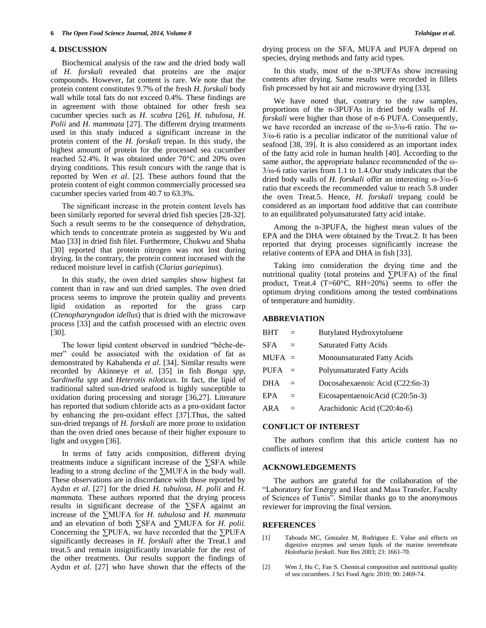### **4. DISCUSSION**

Biochemical analysis of the raw and the dried body wall of *H. forskali* revealed that proteins are the major compounds. However, fat content is rare. We note that the protein content constitutes 9.7% of the fresh *H. forskali* body wall while total fats do not exceed 0.4%. These findings are in agreement with those obtained for other fresh sea cucumber species such as *H. scabra* [26], *H. tubulosa*, *H. Polii* and *H. mammata* [27]. The different drying treatments used in this study induced a significant increase in the protein content of the *H. forskali* trepan. In this study, the highest amount of protein for the processed sea cucumber reached 52.4%. It was obtained under 70°C and 20% oven drying conditions. This result concurs with the range that is reported by Wen *et al*. [2]. These authors found that the protein content of eight common commercially processed sea cucumber species varied from 40.7 to 63.3%.

The significant increase in the protein content levels has been similarly reported for several dried fish species [28-32]. Such a result seems to be the consequence of dehydration, which tends to concentrate protein as suggested by Wu and Mao [33] in dried fish filet. Furthermore, Chukwu and Shaba [30] reported that protein nitrogen was not lost during drying. In the contrary, the protein content increased with the reduced moisture level in catfish (*Clarias gariepinus*).

In this study, the oven dried samples show highest fat content than in raw and sun dried samples. The oven dried process seems to improve the protein quality and prevents lipid oxidation as reported for the grass carp (*Ctenopharyngodon idellus*) that is dried with the microwave process [33] and the catfish processed with an electric oven [30].

The lower lipid content observed in sundried "bêche-demer" could be associated with the oxidation of fat as demonstrated by Kabahenda *et al*. [34]. Similar results were recorded by Akinneye *et al*. [35] in fish *Bonga spp*, *Sardinella spp* and *Heterotis niloticus*. In fact, the lipid of traditional salted sun-dried seafood is highly susceptible to oxidation during processing and storage [36,27]. Literature has reported that sodium chloride acts as a pro-oxidant factor by enhancing the pro-oxidant effect [37].Thus, the salted sun-dried trepangs of *H. forskali* are more prone to oxidation than the oven dried ones because of their higher exposure to light and oxygen [36].

In terms of fatty acids composition, different drying treatments induce a significant increase of the ∑SFA while leading to a strong decline of the ∑MUFA in the body wall. These observations are in discordance with those reported by Aydın *et al*. [27] for the dried *H. tubulosa, H. polii* and *H. mammata*. These authors reported that the drying process results in significant decrease of the ∑SFA against an increase of the ∑MUFA for *H. tubulosa* and *H. mammata* and an elevation of both ∑SFA and ∑MUFA for *H. polii.* Concerning the ∑PUFA, we have recorded that the ∑PUFA significantly decreases in *H. forskali* after the Treat.1 and treat.5 and remain insignificantly invariable for the rest of the other treatments. Our results support the findings of Aydın *et al*. [27] who have shown that the effects of the

drying process on the SFA, MUFA and PUFA depend on species, drying methods and fatty acid types.

In this study, most of the n-3PUFAs show increasing contents after drying. Same results were recorded in fillets fish processed by hot air and microwave drying [33].

We have noted that, contrary to the raw samples, proportions of the n-3PUFAs in dried body walls of *H. forskali* were higher than those of n-6 PUFA. Consequently, we have recorded an increase of the ω-3/ω-6 ratio. The ω-3/ω-6 ratio is a peculiar indicator of the nutritional value of seafood [38, 39]. It is also considered as an important index of the fatty acid role in human health [40]. According to the same author, the appropriate balance recommended of the ω-3/ω-6 ratio varies from 1.1 to 1.4.Our study indicates that the dried body walls of *H. forskali* offer an interesting ω-3/ω-6 ratio that exceeds the recommended value to reach 5.8 under the oven Treat.5. Hence, *H. forskali* trepang could be considered as an important food additive that can contribute to an equilibrated polyunsaturated fatty acid intake.

Among the n-3PUFA, the highest mean values of the EPA and the DHA were obtained by the Treat.2. It has been reported that drying processes significantly increase the relative contents of EPA and DHA in fish [33].

Taking into consideration the drying time and the nutritional quality (total proteins and ∑PUFA) of the final product, Treat.4 (T=60 $^{\circ}$ C, RH=20%) seems to offer the optimum drying conditions among the tested combinations of temperature and humidity.

#### **ABBREVIATION**

| <b>BHT</b>  | $=$ | <b>Butylated Hydroxytoluene</b>    |
|-------------|-----|------------------------------------|
| <b>SFA</b>  | $=$ | <b>Saturated Fatty Acids</b>       |
| $MIFA =$    |     | Monounsaturated Fatty Acids        |
| <b>PUFA</b> | $=$ | <b>Polyunsaturated Fatty Acids</b> |
| <b>DHA</b>  | $=$ | Docosahexaenoic Acid (C22:6n-3)    |
| EPA         | $=$ | EicosapentaenoicAcid (C20:5n-3)    |
| AR A        |     | Arachidonic Acid (C20:4n-6)        |
|             |     |                                    |

#### **CONFLICT OF INTEREST**

The authors confirm that this article content has no conflicts of interest

#### **ACKNOWLEDGEMENTS**

The authors are grateful for the collaboration of the "Laboratory for Energy and Heat and Mass Transfer, Faculty of Sciences of Tunis". Similar thanks go to the anonymous reviewer for improving the final version.

#### **REFERENCES**

- [1] Taboada MC, Gonzalez M, Rodriguez E. Value and effects on digestive enzymes and serum lipids of the marine invertebrate *Holothuria forskali*. Nutr Res 2003; 23: 1661-70.
- [2] Wen J, Hu C, Fan S. Chemical composition and nutritional quality of sea cucumbers. J Sci Food Agric 2010; 90: 2469-74.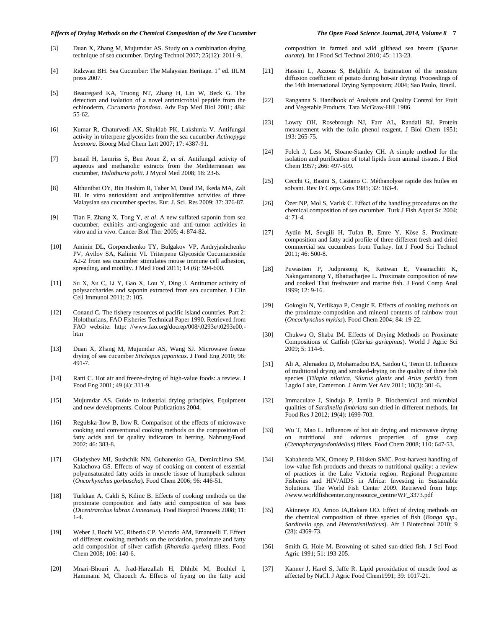#### *Effects of Drying Methods on the Chemical Composition of the Sea Cucumber The Open Food Science Journal, 2014, Volume 8* **7**

- [3] Duan X, Zhang M, Mujumdar AS. Study on a combination drying technique of sea cucumber. Drying Technol 2007; 25(12): 2011-9.
- [4] Ridzwan BH. Sea Cucumber: The Malaysian Heritage. 1<sup>st</sup> ed. IIUM press 2007.
- [5] Beauregard KA, Truong NT, Zhang H, Lin W, Beck G. The detection and isolation of a novel antimicrobial peptide from the echinoderm, *Cucumaria frondosa*. Adv Exp Med Biol 2001; 484: 55-62.
- [6] Kumar R, Chaturvedi AK, Shuklab PK, Lakshmia V. Antifungal activity in triterpene glycosides from the sea cucumber *Actinopyga lecanora*. Bioorg Med Chem Lett 2007; 17: 4387-91.
- [7] Ismail H, Lemriss S, Ben Aoun Z, *et al*. Antifungal activity of aqueous and methanolic extracts from the Mediterranean sea cucumber, *Holothuria polii*. J Mycol Med 2008; 18: 23-6.
- [8] Althunibat OY, Bin Hashim R, Taher M, Daud JM, Ikeda MA, Zali BI. In vitro antioxidant and antiproliferative activities of three Malaysian sea cucumber species. Eur. J. Sci. Res 2009; 37: 376-87.
- [9] Tian F, Zhang X, Tong Y, *et al*. A new sulfated saponin from sea cucumber, exhibits anti-angiogenic and anti-tumor activities in vitro and in vivo. Cancer Biol Ther 2005; 4: 874-82.
- [10] Aminin DL, Gorpenchenko TY, Bulgakov VP, Andryjashchenko PV, Avilov SA, Kalinin VI. Triterpene Glycoside Cucumarioside A2-2 from sea cucumber stimulates mouse immune cell adhesion, spreading, and motility. J Med Food 2011; 14 (6): 594-600.
- [11] Su X, Xu C, Li Y, Gao X, Lou Y, Ding J. Antitumor activity of polysaccharides and saponin extracted from sea cucumber. J Clin Cell Immunol 2011; 2: 105.
- [12] Conand C. The fishery resources of pacific island countries. Part 2: Holothurians, FAO Fisheries Technical Paper 1990. Retrieved from FAO website: http://www.fao.org/docrep/008/t0293e/t0293e00.[htm](http://www.fao.org/docrep/008/t0293e/t0293e00.htm)
- [13] Duan X, Zhang M, Mujumdar AS, Wang SJ. Microwave freeze drying of sea cucumber *Stichopus japonicus*. J Food Eng 2010; 96: 491-7.
- [14] Ratti C. Hot air and freeze-drying of high-value foods: a review. J Food Eng 2001; 49 (4): 311-9.
- [15] Mujumdar AS. Guide to industrial drying principles, Equipment and new developments. Colour Publications 2004.
- [16] Regulska-Ilow B, Ilow R. Comparison of the effects of microwave cooking and conventional cooking methods on the composition of fatty acids and fat quality indicators in herring. Nahrung/Food 2002; 46: 383-8.
- [17] Gladyshev MI, Sushchik NN, Gubanenko GA, Demirchieva SM, Kalachova GS. Effects of way of cooking on content of essential polyunsaturated fatty acids in muscle tissue of humpback salmon (*Oncorhynchus gorbuscha*). Food Chem 2006; 96: 446-51.
- [18] Türkkan A, Cakli S, Kilinc B. Effects of cooking methods on the proximate composition and fatty acid composition of sea bass (*Dicentrarchus labrax Linneaeus*). Food Bioprod Process 2008; 11: 1-4.
- [19] Weber J, Bochi VC, Riberio CP, Victorlo AM, Emanuelli T. Effect of different cooking methods on the oxidation, proximate and fatty acid composition of silver catfish (*Rhamdia quelen*) fillets. Food Chem 2008; 106: 140-6.
- [20] Mnari-Bhouri A, Jrad-Harzallah H, Dhhibi M, Bouhlel I, Hammami M, Chaouch A. Effects of frying on the fatty acid

## composition in farmed and wild gilthead sea bream (*Sparus*

*aurata*). Int J Food Sci Technol 2010; 45: 113-23.

- [21] Hassini L, Azzouz S, Belghith A. Estimation of the moisture diffusion coefficient of potato during hot-air drying. Proceedings of the 14th International Drying Symposium; 2004; Sao Paulo, Brazil.
- [22] Ranganna S. Handbook of Analysis and Quality Control for Fruit and Vegetable Products. Tata McGraw-Hill 1986.
- [23] Lowry OH, Rosebrough NJ, Farr AL, Randall RJ. Protein measurement with the folin phenol reagent. J Biol Chem 1951; 193: 265-75.
- [24] Folch J, Less M, Sloane-Stanley CH. A simple method for the isolation and purification of total lipids from animal tissues. J Biol Chem 1957; 266: 497-509.
- [25] Cecchi G, Basini S, Castano C. Méthanolyse rapide des huiles en solvant. Rev Fr Corps Gras 1985; 32: 163-4.
- [26] Özer NP, Mol S, Varlık C. Effect of the handling procedures on the chemical composition of sea cucumber. Turk J Fish Aquat Sc 2004; 4: 71-4.
- [27] Aydin M, Sevgili H, Tufan B, Emre Y, Köse S. Proximate composition and fatty acid profile of three different fresh and dried commercial sea cucumbers from Turkey. Int J Food Sci Technol 2011; 46: 500-8.
- [28] Puwastien P, Judprasong K, Kettwan E, Vasanachitt K, Nakngamanong Y, Bhattacharjee L. Proximate composition of raw and cooked Thai freshwater and marine fish. J Food Comp Anal 1999; 12: 9-16.
- [29] Gokoglu N, Yerlikaya P, Cengiz E. Effects of cooking methods on the proximate composition and mineral contents of rainbow trout (*Oncorhynchus mykiss*). Food Chem 2004; 84: 19-22.
- [30] Chukwu O, Shaba IM. Effects of Drying Methods on Proximate Compositions of Catfish (*Clarias gariepinus*). World J Agric Sci 2009; 5: 114-6.
- [31] Ali A, Ahmadou D, Mohamadou BA, Saidou C, Tenin D. Influence of traditional drying and smoked-drying on the quality of three fish species (*Tilapia nilotica*, *Silurus glanis* and *Arius parkii*) from Lagdo Lake, Cameroon. J Anim Vet Adv 2011; 10(3): 301-6.
- [32] Immaculate J, Sinduja P, Jamila P. Biochemical and microbial qualities of *Sardinella fimbriata* sun dried in different methods. Int Food Res J 2012; 19(4): 1699-703.
- [33] Wu T, Mao L. Influences of hot air drying and microwave drying on nutritional and odorous properties of grass carp (*Ctenopharyngodonidellus*) fillets. Food Chem 2008; 110: 647-53.
- [34] Kabahenda MK, Omony P, Hüsken SMC. Post-harvest handling of low-value fish products and threats to nutritional quality: a review of practices in the Lake Victoria region. Regional Programme Fisheries and HIV/AIDS in Africa: Investing in Sustainable Solutions. The World Fish Center 2009. Retrieved from http: //www.worldfishcenter.org/resource\_centre/WF\_3373.pdf
- [35] Akinneye JO, Amoo IA,Bakare OO. Effect of drying methods on the chemical composition of three species of fish (*Bonga spp*., *Sardinella spp*. and *Heterotisniloticus*). Afr J Biotechnol 2010; 9 (28): 4369-73.
- [36] Smith G, Hole M. Browning of salted sun-dried fish. J Sci Food Agric 1991; 51: 193-205.
- [37] Kanner J, Harel S, Jaffe R. Lipid peroxidation of muscle food as affected by NaCl. J Agric Food Chem1991; 39: 1017-21.